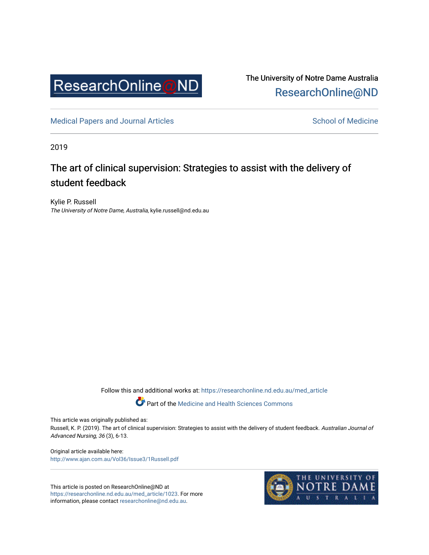

The University of Notre Dame Australia [ResearchOnline@ND](https://researchonline.nd.edu.au/) 

[Medical Papers and Journal Articles](https://researchonline.nd.edu.au/med_article) and School of Medicine

2019

## The art of clinical supervision: Strategies to assist with the delivery of student feedback

Kylie P. Russell The University of Notre Dame, Australia, kylie.russell@nd.edu.au

Follow this and additional works at: [https://researchonline.nd.edu.au/med\\_article](https://researchonline.nd.edu.au/med_article?utm_source=researchonline.nd.edu.au%2Fmed_article%2F1023&utm_medium=PDF&utm_campaign=PDFCoverPages) 

Part of the [Medicine and Health Sciences Commons](http://network.bepress.com/hgg/discipline/648?utm_source=researchonline.nd.edu.au%2Fmed_article%2F1023&utm_medium=PDF&utm_campaign=PDFCoverPages)

This article was originally published as:

Russell, K. P. (2019). The art of clinical supervision: Strategies to assist with the delivery of student feedback. Australian Journal of Advanced Nursing, 36 (3), 6-13.

Original article available here: <http://www.ajan.com.au/Vol36/Issue3/1Russell.pdf>

This article is posted on ResearchOnline@ND at [https://researchonline.nd.edu.au/med\\_article/1023.](https://researchonline.nd.edu.au/med_article/1023) For more information, please contact [researchonline@nd.edu.au.](mailto:researchonline@nd.edu.au)

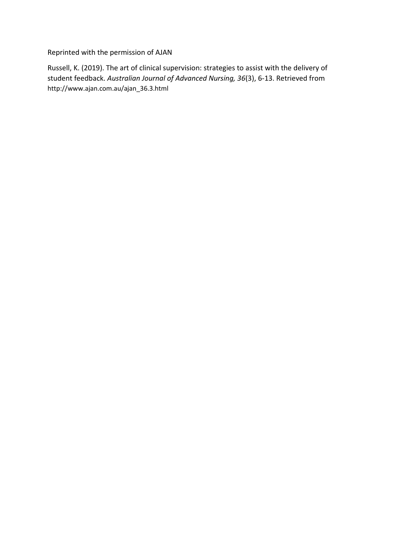Reprinted with the permission of AJAN

Russell, K. (2019). The art of clinical supervision: strategies to assist with the delivery of student feedback. *Australian Journal of Advanced Nursing, 36*(3), 6-13. Retrieved from http://www.ajan.com.au/ajan\_36.3.html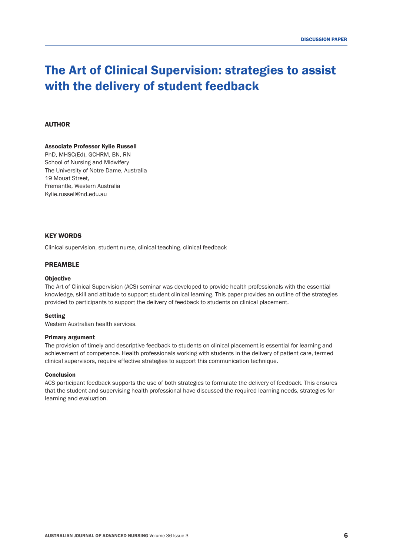# The Art of Clinical Supervision: strategies to assist with the delivery of student feedback

## AUTHOR

#### Associate Professor Kylie Russell

PhD, MHSC(Ed), GCHRM, BN, RN School of Nursing and Midwifery The University of Notre Dame, Australia 19 Mouat Street, Fremantle, Western Australia Kylie.russell@nd.edu.au

## KEY WORDS

Clinical supervision, student nurse, clinical teaching, clinical feedback

#### PREAMBLE

#### **Objective**

The Art of Clinical Supervision (ACS) seminar was developed to provide health professionals with the essential knowledge, skill and attitude to support student clinical learning. This paper provides an outline of the strategies provided to participants to support the delivery of feedback to students on clinical placement.

#### Setting

Western Australian health services.

#### Primary argument

The provision of timely and descriptive feedback to students on clinical placement is essential for learning and achievement of competence. Health professionals working with students in the delivery of patient care, termed clinical supervisors, require effective strategies to support this communication technique.

#### **Conclusion**

ACS participant feedback supports the use of both strategies to formulate the delivery of feedback. This ensures that the student and supervising health professional have discussed the required learning needs, strategies for learning and evaluation.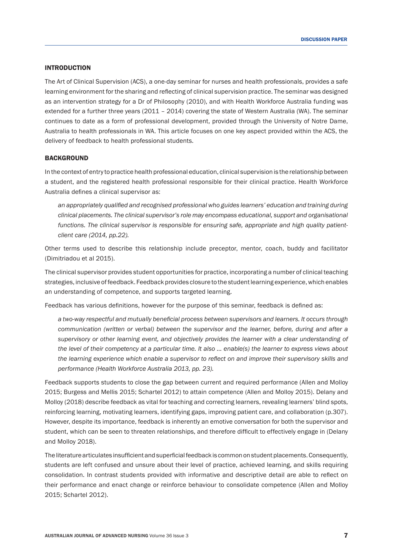## INTRODUCTION

The Art of Clinical Supervision (ACS), a one-day seminar for nurses and health professionals, provides a safe learning environment for the sharing and reflecting of clinical supervision practice. The seminar was designed as an intervention strategy for a Dr of Philosophy (2010), and with Health Workforce Australia funding was extended for a further three years (2011 – 2014) covering the state of Western Australia (WA). The seminar continues to date as a form of professional development, provided through the University of Notre Dame, Australia to health professionals in WA. This article focuses on one key aspect provided within the ACS, the delivery of feedback to health professional students.

## **BACKGROUND**

In the context of entry to practice health professional education, clinical supervision is the relationship between a student, and the registered health professional responsible for their clinical practice. Health Workforce Australia defines a clinical supervisor as:

*an appropriately qualified and recognised professional who guides learners' education and training during clinical placements. The clinical supervisor's role may encompass educational, support and organisational functions. The clinical supervisor is responsible for ensuring safe, appropriate and high quality patientclient care (2014, pp.22).* 

Other terms used to describe this relationship include preceptor, mentor, coach, buddy and facilitator (Dimitriadou et al 2015).

The clinical supervisor provides student opportunities for practice, incorporating a number of clinical teaching strategies, inclusive of feedback. Feedback provides closure to the student learning experience, which enables an understanding of competence, and supports targeted learning.

Feedback has various definitions, however for the purpose of this seminar, feedback is defined as:

*a two-way respectful and mutually beneficial process between supervisors and learners. It occurs through communication (written or verbal) between the supervisor and the learner, before, during and after a supervisory or other learning event, and objectively provides the learner with a clear understanding of the level of their competency at a particular time. It also … enable(s) the learner to express views about the learning experience which enable a supervisor to reflect on and improve their supervisory skills and performance (Health Workforce Australia 2013, pp. 23).*

Feedback supports students to close the gap between current and required performance (Allen and Molloy 2015; Burgess and Mellis 2015; Schartel 2012) to attain competence (Allen and Molloy 2015). Delany and Molloy (2018) describe feedback as vital for teaching and correcting learners, revealing learners' blind spots, reinforcing learning, motivating learners, identifying gaps, improving patient care, and collaboration (p.307). However, despite its importance, feedback is inherently an emotive conversation for both the supervisor and student, which can be seen to threaten relationships, and therefore difficult to effectively engage in (Delany and Molloy 2018).

The literature articulates insufficient and superficial feedback is common on student placements. Consequently, students are left confused and unsure about their level of practice, achieved learning, and skills requiring consolidation. In contrast students provided with informative and descriptive detail are able to reflect on their performance and enact change or reinforce behaviour to consolidate competence (Allen and Molloy 2015; Schartel 2012).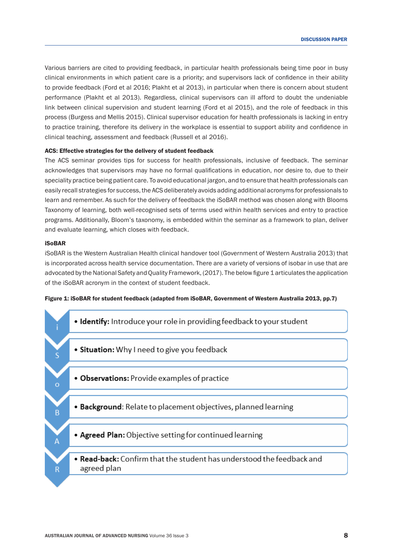Various barriers are cited to providing feedback, in particular health professionals being time poor in busy clinical environments in which patient care is a priority; and supervisors lack of confidence in their ability to provide feedback (Ford et al 2016; Plakht et al 2013), in particular when there is concern about student performance (Plakht et al 2013). Regardless, clinical supervisors can ill afford to doubt the undeniable link between clinical supervision and student learning (Ford et al 2015), and the role of feedback in this process (Burgess and Mellis 2015). Clinical supervisor education for health professionals is lacking in entry to practice training, therefore its delivery in the workplace is essential to support ability and confidence in clinical teaching, assessment and feedback (Russell et al 2016).

#### ACS: Effective strategies for the delivery of student feedback

The ACS seminar provides tips for success for health professionals, inclusive of feedback. The seminar acknowledges that supervisors may have no formal qualifications in education, nor desire to, due to their speciality practice being patient care. To avoid educational jargon, and to ensure that health professionals can easily recall strategies for success, the ACS deliberately avoids adding additional acronyms for professionals to learn and remember. As such for the delivery of feedback the iSoBAR method was chosen along with Blooms Taxonomy of learning, both well-recognised sets of terms used within health services and entry to practice programs. Additionally, Bloom's taxonomy, is embedded within the seminar as a framework to plan, deliver and evaluate learning, which closes with feedback.

## iSoBAR

iSoBAR is the Western Australian Health clinical handover tool (Government of Western Australia 2013) that is incorporated across health service documentation. There are a variety of versions of isobar in use that are advocated by the National Safety and Quality Framework, (2017). The below figure 1 articulates the application of the iSoBAR acronym in the context of student feedback.

## Figure 1: iSoBAR for student feedback (adapted from iSoBAR, Government of Western Australia 2013, pp.7)

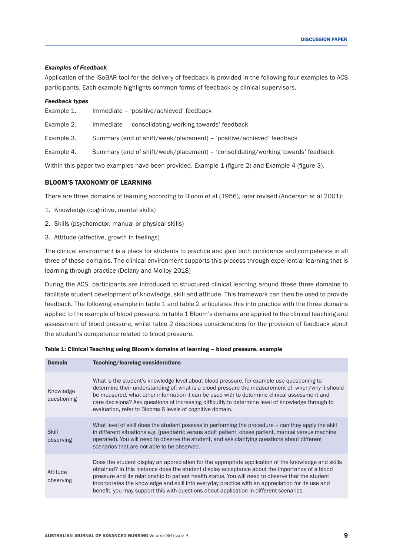## *Examples of Feedback*

Application of the iSoBAR tool for the delivery of feedback is provided in the following four examples to ACS participants. Each example highlights common forms of feedback by clinical supervisors.

#### *Feedback types*

- Example 1. Immediate 'positive/achieved' feedback
- Example 2. Immediate 'consolidating/working towards' feedback

Example 3. Summary (end of shift/week/placement) – 'positive/achieved' feedback

Example 4. Summary (end of shift/week/placement) – 'consolidating/working towards' feedback

Within this paper two examples have been provided, Example 1 (figure 2) and Example 4 (figure 3).

## BLOOM'S TAXONOMY OF LEARNING

There are three domains of learning according to Bloom et al (1956), later revised (Anderson et al 2001):

- 1. Knowledge (cognitive, mental skills)
- 2. Skills (psychomotor, manual or physical skills)
- 3. Attitude (affective, growth in feelings)

The clinical environment is a place for students to practice and gain both confidence and competence in all three of these domains. The clinical environment supports this process through experiential learning that is learning through practice (Delany and Molloy 2018)

During the ACS, participants are introduced to structured clinical learning around these three domains to facilitate student development of knowledge, skill and attitude. This framework can then be used to provide feedback. The following example in table 1 and table 2 articulates this into practice with the three domains applied to the example of blood pressure. In table 1 Bloom's domains are applied to the clinical teaching and assessment of blood pressure, whilst table 2 describes considerations for the provision of feedback about the student's competence related to blood pressure.

Table 1: Clinical Teaching using Bloom's domains of learning – blood pressure, example

| <b>Domain</b>             | Teaching/learning considerations                                                                                                                                                                                                                                                                                                                                                                                                                                                                          |
|---------------------------|-----------------------------------------------------------------------------------------------------------------------------------------------------------------------------------------------------------------------------------------------------------------------------------------------------------------------------------------------------------------------------------------------------------------------------------------------------------------------------------------------------------|
| Knowledge<br>questioning  | What is the student's knowledge level about blood pressure, for example use questioning to<br>determine their understanding of: what is a blood pressure the measurement of, when/why it should<br>be measured, what other information it can be used with to determine clinical assessment and<br>care decisions? Ask questions of increasing difficultly to determine level of knowledge through to<br>evaluation, refer to Blooms 6 levels of cognitive domain.                                        |
| <b>Skill</b><br>observing | What level of skill does the student possess in performing the procedure – can they apply the skill<br>in different situations e.g. (paediatric versus adult patient, obese patient, manual versus machine<br>operated). You will need to observe the student, and ask clarifying questions about different<br>scenarios that are not able to be observed.                                                                                                                                                |
| Attitude<br>observing     | Does the student display an appreciation for the appropriate application of the knowledge and skills<br>obtained? In this instance does the student display acceptance about the importance of a blood<br>pressure and its relationship to patient health status. You will need to observe that the student<br>incorporates the knowledge and skill into everyday practice with an appreciation for its use and<br>benefit, you may support this with questions about application in different scenarios. |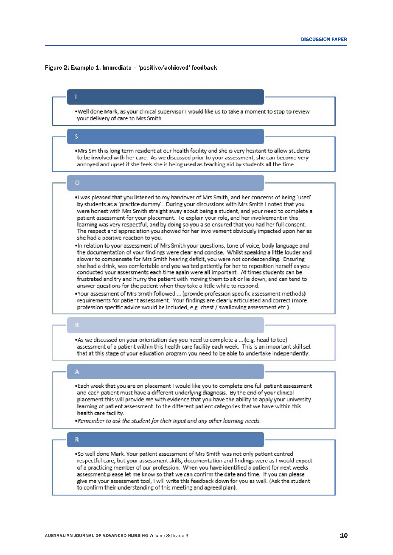#### Figure 2: Example 1. Immediate – 'positive/achieved' feedback



to confirm their understanding of this meeting and agreed plan).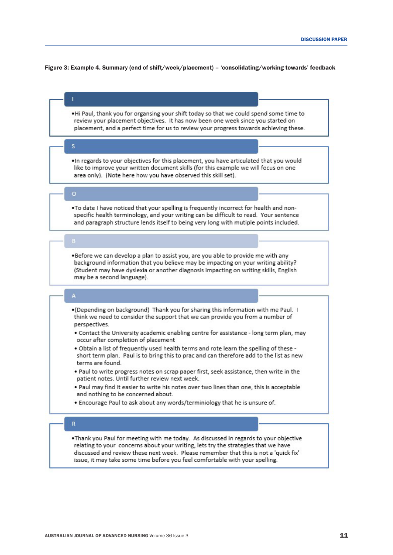#### Figure 3: Example 4. Summary (end of shift/week/placement) – 'consolidating/working towards' feedback

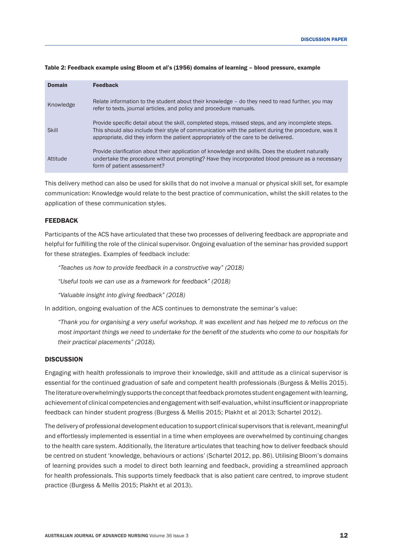| <b>Domain</b> | <b>Feedback</b>                                                                                                                                                                                                                                                                                 |
|---------------|-------------------------------------------------------------------------------------------------------------------------------------------------------------------------------------------------------------------------------------------------------------------------------------------------|
| Knowledge     | Relate information to the student about their knowledge - do they need to read further, you may<br>refer to texts, journal articles, and policy and procedure manuals.                                                                                                                          |
| <b>Skill</b>  | Provide specific detail about the skill, completed steps, missed steps, and any incomplete steps.<br>This should also include their style of communication with the patient during the procedure, was it<br>appropriate, did they inform the patient appropriately of the care to be delivered. |
| Attitude      | Provide clarification about their application of knowledge and skills. Does the student naturally<br>undertake the procedure without prompting? Have they incorporated blood pressure as a necessary<br>form of patient assessment?                                                             |

#### Table 2: Feedback example using Bloom et al's (1956) domains of learning – blood pressure, example

This delivery method can also be used for skills that do not involve a manual or physical skill set, for example communication: Knowledge would relate to the best practice of communication, whilst the skill relates to the application of these communication styles.

## **FEEDBACK**

Participants of the ACS have articulated that these two processes of delivering feedback are appropriate and helpful for fulfilling the role of the clinical supervisor. Ongoing evaluation of the seminar has provided support for these strategies. Examples of feedback include:

*"Teaches us how to provide feedback in a constructive way" (2018)*

*"Useful tools we can use as a framework for feedback" (2018)*

*"Valuable insight into giving feedback" (2018)*

In addition, ongoing evaluation of the ACS continues to demonstrate the seminar's value:

*"Thank you for organising a very useful workshop. It was excellent and has helped me to refocus on the most important things we need to undertake for the benefit of the students who come to our hospitals for their practical placements" (2018).*

## **DISCUSSION**

Engaging with health professionals to improve their knowledge, skill and attitude as a clinical supervisor is essential for the continued graduation of safe and competent health professionals (Burgess & Mellis 2015). The literature overwhelmingly supports the concept that feedback promotes student engagement with learning, achievement of clinical competencies and engagement with self-evaluation, whilst insufficient or inappropriate feedback can hinder student progress (Burgess & Mellis 2015; Plakht et al 2013; Schartel 2012).

The delivery of professional development education to support clinical supervisors that is relevant, meaningful and effortlessly implemented is essential in a time when employees are overwhelmed by continuing changes to the health care system. Additionally, the literature articulates that teaching how to deliver feedback should be centred on student 'knowledge, behaviours or actions' (Schartel 2012, pp. 86). Utilising Bloom's domains of learning provides such a model to direct both learning and feedback, providing a streamlined approach for health professionals. This supports timely feedback that is also patient care centred, to improve student practice (Burgess & Mellis 2015; Plakht et al 2013).